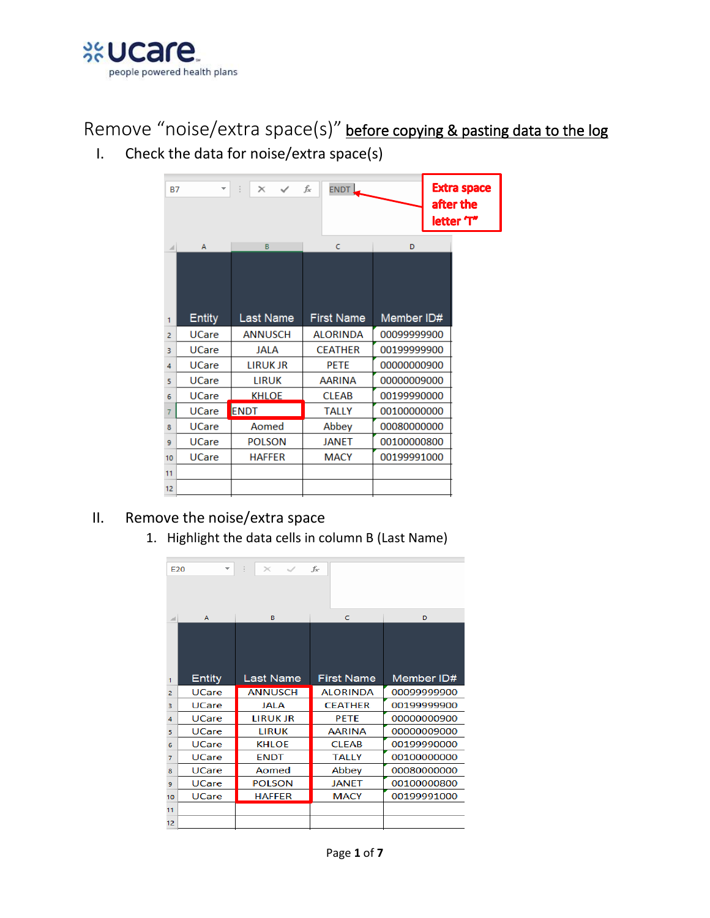

Remove "noise/extra space(s)" before copying & pasting data to the log

I. Check the data for noise/extra space(s)

| <b>B7</b>      | ÷             | \$<br>$\times$<br>$\checkmark$ | fx<br>ENDT,       |             | <b>Extra space</b><br>after the<br>letter T" |
|----------------|---------------|--------------------------------|-------------------|-------------|----------------------------------------------|
| ⊿              | A             | B                              | $\epsilon$        | D           |                                              |
| 1              | <b>Entity</b> | Last Name                      | <b>First Name</b> | Member ID#  |                                              |
| $\overline{a}$ | <b>UCare</b>  | <b>ANNUSCH</b>                 | <b>ALORINDA</b>   | 00099999900 |                                              |
| 3              | <b>UCare</b>  | <b>JALA</b>                    | <b>CEATHER</b>    | 00199999900 |                                              |
| 4              | <b>UCare</b>  | <b>LIRUK JR</b>                | <b>PETE</b>       | 00000000900 |                                              |
| 5              | <b>UCare</b>  | <b>LIRUK</b>                   | AARINA            | 00000009000 |                                              |
| 6              | <b>UCare</b>  | <b>KHLOE</b>                   | <b>CLEAB</b>      | 00199990000 |                                              |
| 7              | <b>UCare</b>  | <b>ENDT</b>                    | <b>TALLY</b>      | 00100000000 |                                              |
| 8              | <b>UCare</b>  | Aomed                          | Abbey             | 00080000000 |                                              |
| 9              | <b>UCare</b>  | <b>POLSON</b>                  | <b>JANET</b>      | 00100000800 |                                              |
| 10             | <b>UCare</b>  | <b>HAFFER</b>                  | <b>MACY</b>       | 00199991000 |                                              |
| 11             |               |                                |                   |             |                                              |
| 12             |               |                                |                   |             |                                              |

- II. Remove the noise/extra space
	- 1. Highlight the data cells in column B (Last Name)

| F20            |               | ă.<br>$\mathbb{R}$ | $f_x$             |             |
|----------------|---------------|--------------------|-------------------|-------------|
|                |               |                    |                   |             |
|                | A             | в                  | c                 | D           |
|                |               |                    |                   |             |
| 1              | <b>Entity</b> | Last Name          | <b>First Name</b> | Member ID#  |
| $\overline{2}$ | <b>UCare</b>  | <b>ANNUSCH</b>     | <b>ALORINDA</b>   | 00099999900 |
| 3              | <b>UCare</b>  | <b>JALA</b>        | <b>CEATHER</b>    | 00199999900 |
| 4              | <b>UCare</b>  | <b>LIRUK JR</b>    | <b>PETE</b>       | 00000000900 |
| 5              | <b>UCare</b>  | <b>LIRUK</b>       | <b>AARINA</b>     | 00000009000 |
| 6              | <b>UCare</b>  | <b>KHLOE</b>       | <b>CLEAB</b>      | 00199990000 |
| $\overline{7}$ | <b>UCare</b>  | <b>ENDT</b>        | <b>TALLY</b>      | 00100000000 |
| 8              | <b>UCare</b>  | Aomed              | Abbey             | 00080000000 |
| 9              | <b>UCare</b>  | <b>POLSON</b>      | <b>JANET</b>      | 00100000800 |
| 10             | <b>UCare</b>  | <b>HAFFER</b>      | <b>MACY</b>       | 00199991000 |
| 11             |               |                    |                   |             |
| 12             |               |                    |                   |             |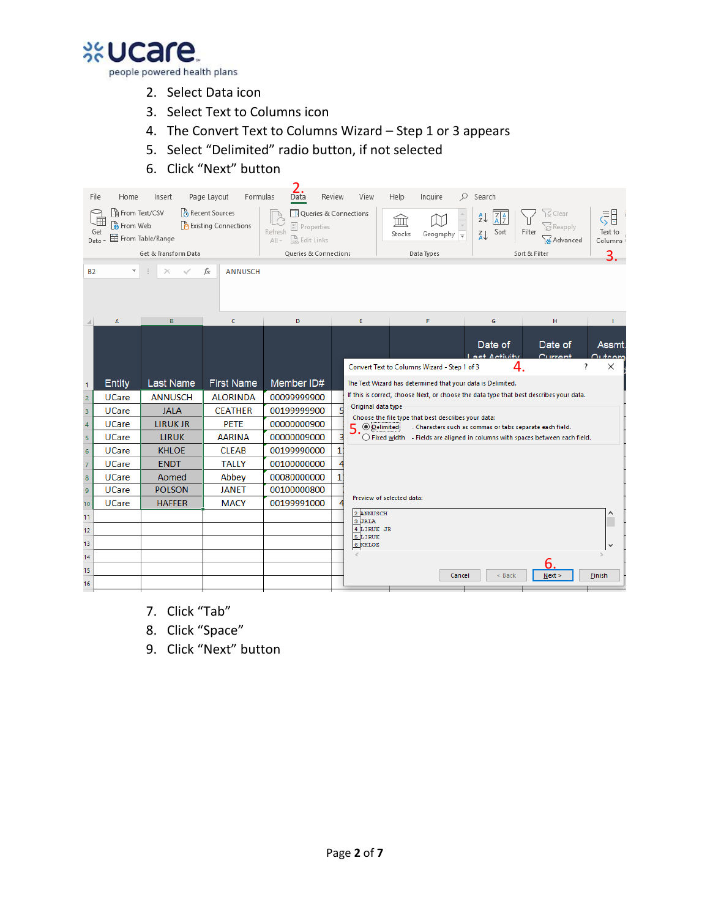

- 2. Select Data icon
- 3. Select Text to Columns icon
- 4. The Convert Text to Columns Wizard Step 1 or 3 appears
- 5. Select "Delimited" radio button, if not selected
- 6. Click "Next" button

| File<br>Get<br>Data<br><b>B2</b>          | Home<br>From Text/CSV<br><b>A</b> From Web | Insert<br><b>目</b> From Table/Range<br>Get & Transform Data | Page Layout<br>Formulas<br>Recent Sources<br><b>A</b> Existing Connections<br>fx<br><b>ANNUSCH</b> | Data<br>Queries & Connections<br><sup>E:</sup> Properties<br>Refresh<br>R, Edit Links<br>$All -$<br>Queries & Connections | Review         | View                                         | Help<br>血<br>Stocks | Inquire<br>Geography $\sqrt{\frac{1}{x}}$<br>Data Types | Ω<br>Search<br>$\left  \frac{Z}{A} \right $<br>$\frac{A}{Z}$<br>Sort<br>$rac{Z}{A}$                                                                    | Filter<br>Sort & Filter | Clear<br>)ကို Reapply<br>a Advanced | 引<br>Text to<br>Columns<br>3.                     |
|-------------------------------------------|--------------------------------------------|-------------------------------------------------------------|----------------------------------------------------------------------------------------------------|---------------------------------------------------------------------------------------------------------------------------|----------------|----------------------------------------------|---------------------|---------------------------------------------------------|--------------------------------------------------------------------------------------------------------------------------------------------------------|-------------------------|-------------------------------------|---------------------------------------------------|
|                                           | $\overline{A}$                             | B                                                           | $\epsilon$                                                                                         | D                                                                                                                         |                | E                                            |                     | F                                                       | G                                                                                                                                                      |                         | н                                   |                                                   |
|                                           |                                            |                                                             |                                                                                                    |                                                                                                                           |                | Convert Text to Columns Wizard - Step 1 of 3 |                     |                                                         | Date of<br>aet Antivity                                                                                                                                | 4.                      | Date of<br>$C$ urrant               | <b>Assmt</b><br><b>Quite om</b><br>s.<br>$\times$ |
| $\mathbf{1}$                              | <b>Entity</b>                              | <b>Last Name</b><br><b>ANNUSCH</b>                          | <b>First Name</b><br><b>ALORINDA</b>                                                               | Member ID#                                                                                                                |                |                                              |                     |                                                         | The Text Wizard has determined that your data is Delimited.<br>If this is correct, choose Next, or choose the data type that best describes your data. |                         |                                     |                                                   |
| $\overline{c}$                            | <b>UCare</b><br><b>UCare</b>               | <b>JALA</b>                                                 | <b>CEATHER</b>                                                                                     | 00099999900<br>00199999900                                                                                                |                | Original data type                           |                     |                                                         |                                                                                                                                                        |                         |                                     |                                                   |
| 3                                         | <b>UCare</b>                               | <b>LIRUK JR</b>                                             | <b>PETE</b>                                                                                        | 00000000900                                                                                                               |                |                                              |                     |                                                         | Choose the file type that best describes your data:                                                                                                    |                         |                                     |                                                   |
| $\overline{4}$<br>$\overline{\mathbf{5}}$ | <b>UCare</b>                               | <b>LIRUK</b>                                                | <b>AARINA</b>                                                                                      | 00000009000                                                                                                               | 3              | $5. ②$ Delimited                             |                     |                                                         | - Characters such as commas or tabs separate each field.<br>$\bigcirc$ Fixed width - Fields are aligned in columns with spaces between each field.     |                         |                                     |                                                   |
| $\overline{6}$                            | <b>UCare</b>                               | <b>KHLOE</b>                                                | <b>CLEAB</b>                                                                                       | 00199990000                                                                                                               | 1 <sup>1</sup> |                                              |                     |                                                         |                                                                                                                                                        |                         |                                     |                                                   |
| $\overline{7}$                            | <b>UCare</b>                               | <b>ENDT</b>                                                 | <b>TALLY</b>                                                                                       | 00100000000                                                                                                               |                |                                              |                     |                                                         |                                                                                                                                                        |                         |                                     |                                                   |
| $\bf8$                                    | <b>UCare</b>                               | Aomed                                                       | Abbey                                                                                              | 00080000000                                                                                                               | 1 <sup>1</sup> |                                              |                     |                                                         |                                                                                                                                                        |                         |                                     |                                                   |
| 9                                         | <b>UCare</b>                               | <b>POLSON</b>                                               | <b>JANET</b>                                                                                       | 00100000800                                                                                                               |                |                                              |                     |                                                         |                                                                                                                                                        |                         |                                     |                                                   |
| 10 <sub>10</sub>                          | <b>UCare</b>                               | <b>HAFFER</b>                                               | <b>MACY</b>                                                                                        | 00199991000                                                                                                               |                | Preview of selected data:                    |                     |                                                         |                                                                                                                                                        |                         |                                     |                                                   |
| 11                                        |                                            |                                                             |                                                                                                    |                                                                                                                           |                | 2 ANNUSCH<br>3 JALA                          |                     |                                                         |                                                                                                                                                        |                         |                                     |                                                   |
| 12                                        |                                            |                                                             |                                                                                                    |                                                                                                                           |                | 4 LIRUK JR                                   |                     |                                                         |                                                                                                                                                        |                         |                                     |                                                   |
| 13                                        |                                            |                                                             |                                                                                                    |                                                                                                                           |                | 5 LIRUK<br><b>6 KHLOE</b>                    |                     |                                                         |                                                                                                                                                        |                         |                                     |                                                   |
| 14                                        |                                            |                                                             |                                                                                                    |                                                                                                                           |                |                                              |                     |                                                         |                                                                                                                                                        |                         |                                     |                                                   |
| 15                                        |                                            |                                                             |                                                                                                    |                                                                                                                           |                |                                              |                     |                                                         | < Back<br>Cancel                                                                                                                                       |                         | 6<br>Next                           | Einish                                            |
| 16                                        |                                            |                                                             |                                                                                                    |                                                                                                                           |                |                                              |                     |                                                         |                                                                                                                                                        |                         |                                     |                                                   |

- 7. Click "Tab"
- 8. Click "Space"
- 9. Click "Next" button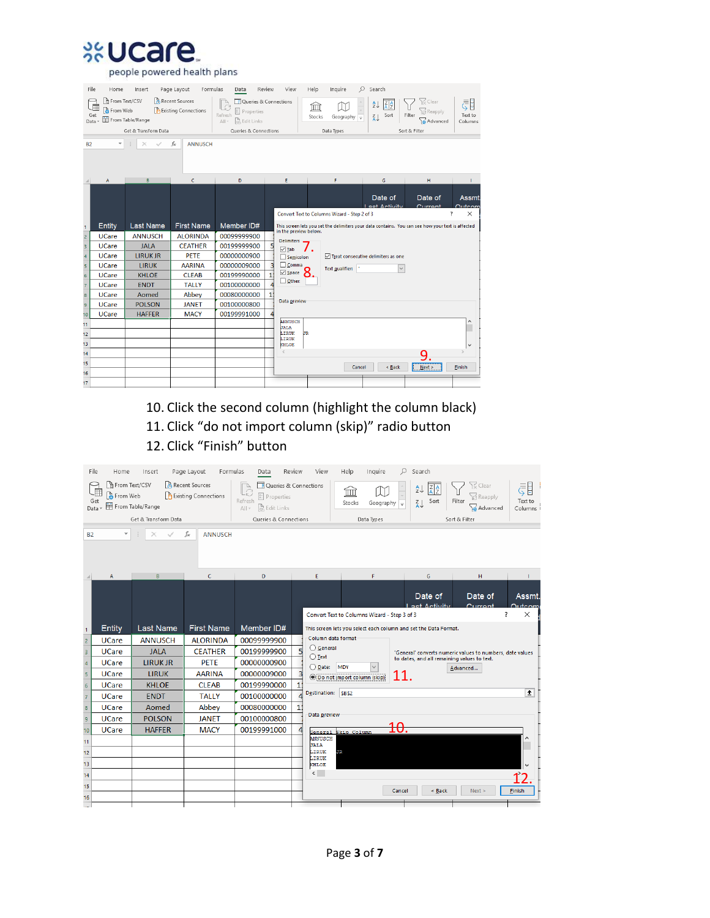

people powered health plans

| File<br>Data<br><b>B2</b> | Home<br>From Text/CSV<br><b>A</b> From Web<br>Get | Insert<br>From Table/Range<br>Get & Transform Data | Page Layout<br>Formulas<br>Recent Sources<br><b>A</b> Existing Connections<br>fx<br><b>ANNUSCH</b> | Data<br>Queries & Connections<br><sup>B:</sup> Properties<br>Refresh<br>$\mathbb{R}$ Edit Links<br>$All -$<br><b>Queries &amp; Connections</b> | Review         | View                   | Help<br>ím<br>Stocks | Inquire<br>Geography $\sqrt{\pi}$<br>Data Types | $\circ$<br>Search<br>$\frac{A}{2}$<br>Sort<br>$rac{7}{4}$ | $\overline{\mathcal{R}}$ Clear<br><b>Reapply</b><br>Filter<br>Advanced<br>Sort & Filter           | (『<br>Text to<br>Columns                |
|---------------------------|---------------------------------------------------|----------------------------------------------------|----------------------------------------------------------------------------------------------------|------------------------------------------------------------------------------------------------------------------------------------------------|----------------|------------------------|----------------------|-------------------------------------------------|-----------------------------------------------------------|---------------------------------------------------------------------------------------------------|-----------------------------------------|
|                           | $\overline{A}$                                    | B                                                  | c                                                                                                  | D                                                                                                                                              |                | E                      |                      | F                                               | G                                                         | H                                                                                                 |                                         |
|                           |                                                   |                                                    |                                                                                                    |                                                                                                                                                |                |                        |                      | Convert Text to Columns Wizard - Step 2 of 3    | Date of<br>act Antivity                                   | Date of<br>$C$ urront                                                                             | <b>Assmt</b><br><b>Outcom</b><br>X<br>7 |
| $\mathbf{1}$              | Entity                                            | <b>Last Name</b>                                   | <b>First Name</b>                                                                                  | Member ID#                                                                                                                                     |                | in the preview below.  |                      |                                                 |                                                           | This screen lets you set the delimiters your data contains. You can see how your text is affected |                                         |
| $\overline{c}$            | <b>UCare</b>                                      | <b>ANNUSCH</b>                                     | <b>ALORINDA</b>                                                                                    | 00099999900                                                                                                                                    |                | <b>Delimiters</b>      |                      |                                                 |                                                           |                                                                                                   |                                         |
| 3                         | <b>UCare</b>                                      | <b>JAIA</b>                                        | <b>CEATHER</b>                                                                                     | 00199999900                                                                                                                                    |                | $\sqrt{1}$ Tab         |                      |                                                 |                                                           |                                                                                                   |                                         |
| 4                         | <b>UCare</b>                                      | <b>LIRUK JR</b>                                    | <b>PETE</b>                                                                                        | 00000000900                                                                                                                                    |                | Semicolon              |                      |                                                 | $\sqrt{ }$ Treat consecutive delimiters as one            |                                                                                                   |                                         |
| 5                         | <b>UCare</b>                                      | <b>LIRUK</b>                                       | <b>AARINA</b>                                                                                      | 00000009000                                                                                                                                    | $\overline{3}$ | $\Box$ Comma           |                      | <b>Text qualifier:</b>                          |                                                           |                                                                                                   |                                         |
|                           | <b>UCare</b>                                      | <b>KHLOE</b>                                       | <b>CLEAB</b>                                                                                       | 00199990000                                                                                                                                    | $\mathbf{1}$   | $\boxdot$ Space        |                      |                                                 |                                                           |                                                                                                   |                                         |
| $\frac{6}{7}$             | <b>UCare</b>                                      | <b>ENDT</b>                                        | <b>TALLY</b>                                                                                       | 00100000000                                                                                                                                    |                | $\Box$ Other:          |                      |                                                 |                                                           |                                                                                                   |                                         |
| 8                         | <b>UCare</b>                                      | Aomed                                              | Abbey                                                                                              | 00080000000                                                                                                                                    | 1              |                        |                      |                                                 |                                                           |                                                                                                   |                                         |
| 9                         | <b>UCare</b>                                      | <b>POLSON</b>                                      | <b>JANET</b>                                                                                       | 00100000800                                                                                                                                    |                | Data preview           |                      |                                                 |                                                           |                                                                                                   |                                         |
| 10 <sup>10</sup>          | <b>UCare</b>                                      | <b>HAFFER</b>                                      | <b>MACY</b>                                                                                        | 00199991000                                                                                                                                    |                |                        |                      |                                                 |                                                           |                                                                                                   |                                         |
| 11                        |                                                   |                                                    |                                                                                                    |                                                                                                                                                |                | ANNUSCH<br><b>JALA</b> |                      |                                                 |                                                           |                                                                                                   | ۸                                       |
| 12                        |                                                   |                                                    |                                                                                                    |                                                                                                                                                |                | LIRUK<br>JR.<br>LIRUK  |                      |                                                 |                                                           |                                                                                                   |                                         |
| 13                        |                                                   |                                                    |                                                                                                    |                                                                                                                                                |                | KHLOE                  |                      |                                                 |                                                           |                                                                                                   | v                                       |
| 14                        |                                                   |                                                    |                                                                                                    |                                                                                                                                                |                | ₹                      |                      |                                                 |                                                           | 9                                                                                                 |                                         |
| 15                        |                                                   |                                                    |                                                                                                    |                                                                                                                                                |                |                        |                      | Cancel                                          | < Back                                                    | Next >                                                                                            | Finish                                  |
| 16                        |                                                   |                                                    |                                                                                                    |                                                                                                                                                |                |                        |                      |                                                 |                                                           |                                                                                                   |                                         |
| 17                        |                                                   |                                                    |                                                                                                    |                                                                                                                                                |                |                        |                      |                                                 |                                                           |                                                                                                   |                                         |

10. Click the second column (highlight the column black) 11. Click "do not import column (skip)" radio button 12. Click "Finish" button

|                         | File<br>Home                                        | Insert                                     | Page Layout<br>Formulas                         | Data                                                                                                               | Review         | View                                                             | Help                        | Inquire                 | Q      | Search                                                 |                         |                                                           |                                         |
|-------------------------|-----------------------------------------------------|--------------------------------------------|-------------------------------------------------|--------------------------------------------------------------------------------------------------------------------|----------------|------------------------------------------------------------------|-----------------------------|-------------------------|--------|--------------------------------------------------------|-------------------------|-----------------------------------------------------------|-----------------------------------------|
| Data                    | From Text/CSV<br>……<br><b>&amp;</b> From Web<br>Get | 目 From Table/Range<br>Get & Transform Data | Recent Sources<br><b>P</b> Existing Connections | Queries & Connections<br><sup>2</sup> : Properties<br>Refresh<br>R, Edit Links<br>$All -$<br>Queries & Connections |                |                                                                  | ΊШΙ<br>Stocks<br>Data Types | Geography $\frac{1}{x}$ |        | ₹↓<br>$rac{7}{4}$ $rac{4}{2}$<br>Sort<br>$\frac{7}{4}$ | Filter<br>Sort & Filter | $\sqrt{2}$ Clear<br><b>P</b> Reapply<br>Advanced          | E<br>Text to<br>Columns i               |
|                         |                                                     |                                            |                                                 |                                                                                                                    |                |                                                                  |                             |                         |        |                                                        |                         |                                                           |                                         |
| <b>B2</b>               |                                                     |                                            | fx<br><b>ANNUSCH</b>                            |                                                                                                                    |                |                                                                  |                             |                         |        |                                                        |                         |                                                           |                                         |
|                         | A                                                   | В                                          | c                                               | D                                                                                                                  |                | E                                                                |                             | F                       |        | G                                                      |                         | H                                                         |                                         |
|                         |                                                     |                                            |                                                 |                                                                                                                    |                | Convert Text to Columns Wizard - Step 3 of 3                     |                             |                         |        | Date of<br>aet Activity                                |                         | Date of<br>Current                                        | <b>Assmt</b><br>Outcom<br>$\times$<br>7 |
| $\mathbf{1}$            | Entity                                              | <b>Last Name</b>                           | <b>First Name</b>                               | Member ID#                                                                                                         |                | This screen lets you select each column and set the Data Format. |                             |                         |        |                                                        |                         |                                                           |                                         |
|                         | <b>UCare</b>                                        | <b>ANNUSCH</b>                             | <b>ALORINDA</b>                                 | 00099999900                                                                                                        |                | Column data format                                               |                             |                         |        |                                                        |                         |                                                           |                                         |
| $\frac{2}{3}$           | <b>UCare</b>                                        | <b>JALA</b>                                | <b>CEATHER</b>                                  | 00199999900                                                                                                        |                | ◯ General                                                        |                             |                         |        |                                                        |                         | 'General' converts numeric values to numbers, date values |                                         |
| $\frac{4}{1}$           | <b>UCare</b>                                        | <b>LIRUK JR</b>                            | <b>PETE</b>                                     | 00000000900                                                                                                        |                | $\bigcirc$ Text<br>◯ Date:                                       | <b>MDY</b>                  | $\checkmark$            |        | to dates, and all remaining values to text.            |                         | Advanced                                                  |                                         |
| $\overline{\mathbf{5}}$ | <b>UCare</b>                                        | <b>LIRUK</b>                               | <b>AARINA</b>                                   | 00000009000                                                                                                        |                | ◉ Do not import column (skip)                                    |                             |                         | 11.    |                                                        |                         |                                                           |                                         |
| $\overline{6}$          | <b>UCare</b>                                        | <b>KHLOE</b>                               | <b>CLEAB</b>                                    | 00199990000                                                                                                        | $1^{\circ}$    |                                                                  |                             |                         |        |                                                        |                         |                                                           |                                         |
| $\frac{1}{7}$           | <b>UCare</b>                                        | <b>ENDT</b>                                | <b>TALLY</b>                                    | 00100000000                                                                                                        |                | Destination:                                                     | <b>SBS2</b>                 |                         |        |                                                        |                         |                                                           | 土                                       |
| 8                       | <b>UCare</b>                                        | Aomed                                      | Abbey                                           | 00080000000                                                                                                        | 1 <sup>1</sup> |                                                                  |                             |                         |        |                                                        |                         |                                                           |                                         |
| 9                       | <b>UCare</b>                                        | <b>POLSON</b>                              | <b>JANET</b>                                    | 00100000800                                                                                                        |                | Data preview                                                     |                             |                         |        |                                                        |                         |                                                           |                                         |
| 10                      | <b>UCare</b>                                        | <b>HAFFER</b>                              | <b>MACY</b>                                     | 00199991000                                                                                                        |                |                                                                  | General Skip Column         |                         | 10.    |                                                        |                         |                                                           |                                         |
| 11                      |                                                     |                                            |                                                 |                                                                                                                    |                | ANNUSCH<br><b>JALA</b>                                           |                             |                         |        |                                                        |                         |                                                           | $\hat{\phantom{a}}$                     |
| 12                      |                                                     |                                            |                                                 |                                                                                                                    |                | LIRUK<br>JR<br>LIRUK                                             |                             |                         |        |                                                        |                         |                                                           |                                         |
| 13                      |                                                     |                                            |                                                 |                                                                                                                    |                | KHLOE                                                            |                             |                         |        |                                                        |                         |                                                           |                                         |
| 14                      |                                                     |                                            |                                                 |                                                                                                                    |                | $\left\langle \quad \right\rangle$                               |                             |                         |        |                                                        |                         |                                                           |                                         |
| 15<br>16                |                                                     |                                            |                                                 |                                                                                                                    |                |                                                                  |                             |                         | Cancel | < Back                                                 |                         | Next >                                                    | <b>Finish</b>                           |
| L.                      |                                                     |                                            |                                                 |                                                                                                                    |                |                                                                  |                             |                         |        |                                                        |                         |                                                           |                                         |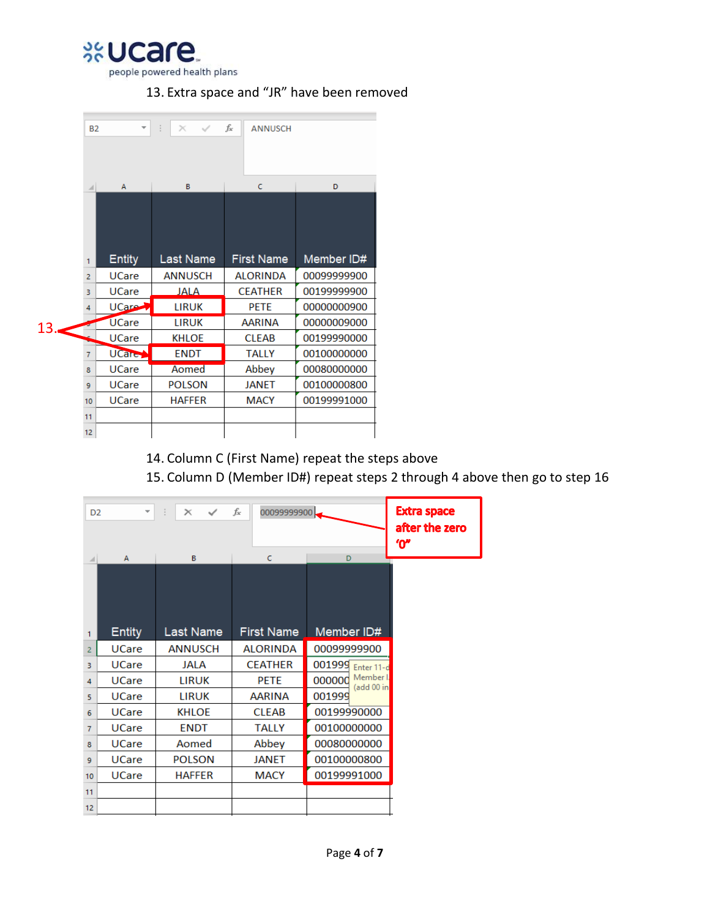%Ucare people powered health plans

## 13. Extra space and "JR" have been removed

|     | <b>B2</b>      | ÷             | $\times$<br>$\checkmark$ | fx<br><b>ANNUSCH</b> |             |
|-----|----------------|---------------|--------------------------|----------------------|-------------|
|     |                |               |                          |                      |             |
|     |                | A             | B                        | c                    | D           |
|     |                |               |                          |                      |             |
|     | 1              | <b>Entity</b> | Last Name                | <b>First Name</b>    | Member ID#  |
|     | $\overline{2}$ | <b>UCare</b>  | <b>ANNUSCH</b>           | <b>ALORINDA</b>      | 00099999900 |
|     | В              | <b>UCare</b>  | JALA                     | <b>CEATHER</b>       | 00199999900 |
|     | 4              | UCare 1       | <b>LIRUK</b>             | <b>PETE</b>          | 00000000900 |
| 13. |                | <b>UCare</b>  | <b>LIRUK</b>             | <b>AARINA</b>        | 00000009000 |
|     |                | <b>UCare</b>  | <b>KHLOE</b>             | <b>CLEAB</b>         | 00199990000 |
|     | $\overline{7}$ | UCare         | <b>ENDT</b>              | <b>TALLY</b>         | 00100000000 |
|     | 8              | <b>UCare</b>  | Aomed                    | Abbey                | 00080000000 |
|     | 9              | <b>UCare</b>  | <b>POLSON</b>            | <b>JANET</b>         | 00100000800 |
|     | 10             | <b>UCare</b>  | <b>HAFFER</b>            | MACY                 | 00199991000 |
|     | 11             |               |                          |                      |             |
|     | 12             |               |                          |                      |             |

14. Column C (First Name) repeat the steps above

15. Column D (Member ID#) repeat steps 2 through 4 above then go to step 16

| D <sub>2</sub> | $\overline{\phantom{a}}$ | $\checkmark$<br>$\times$ | fx<br>00099999900      |                                   | <b>Extra space</b><br>after the zero<br>"በ" |
|----------------|--------------------------|--------------------------|------------------------|-----------------------------------|---------------------------------------------|
| 1              | A<br><b>Entity</b>       | B<br>Last Name           | C<br><b>First Name</b> | D<br>Member ID#                   |                                             |
| $\overline{2}$ | <b>UCare</b>             | <b>ANNUSCH</b>           | <b>ALORINDA</b>        | 00099999900                       |                                             |
| 3.             | <b>UCare</b>             | JALA                     | <b>CEATHER</b>         | 001999<br>Enter 11-d              |                                             |
| 4              | <b>UCare</b>             | <b>LIRUK</b>             | <b>PETE</b>            | Member I.<br>000000<br>(add 00 in |                                             |
| 5              | <b>UCare</b>             | <b>LIRUK</b>             | AARINA                 | 001999                            |                                             |
| 6              | <b>UCare</b>             | <b>KHLOE</b>             | <b>CLEAB</b>           | 00199990000                       |                                             |
| $\overline{7}$ | <b>UCare</b>             | <b>ENDT</b>              | <b>TALLY</b>           | 00100000000                       |                                             |
| 8              | <b>UCare</b>             | Aomed                    | Abbey                  | 00080000000                       |                                             |
| 9              | <b>UCare</b>             | <b>POLSON</b>            | <b>JANET</b>           | 00100000800                       |                                             |
| 10             | <b>UCare</b>             | <b>HAFFER</b>            | <b>MACY</b>            | 00199991000                       |                                             |
| 11             |                          |                          |                        |                                   |                                             |
| 12             |                          |                          |                        |                                   |                                             |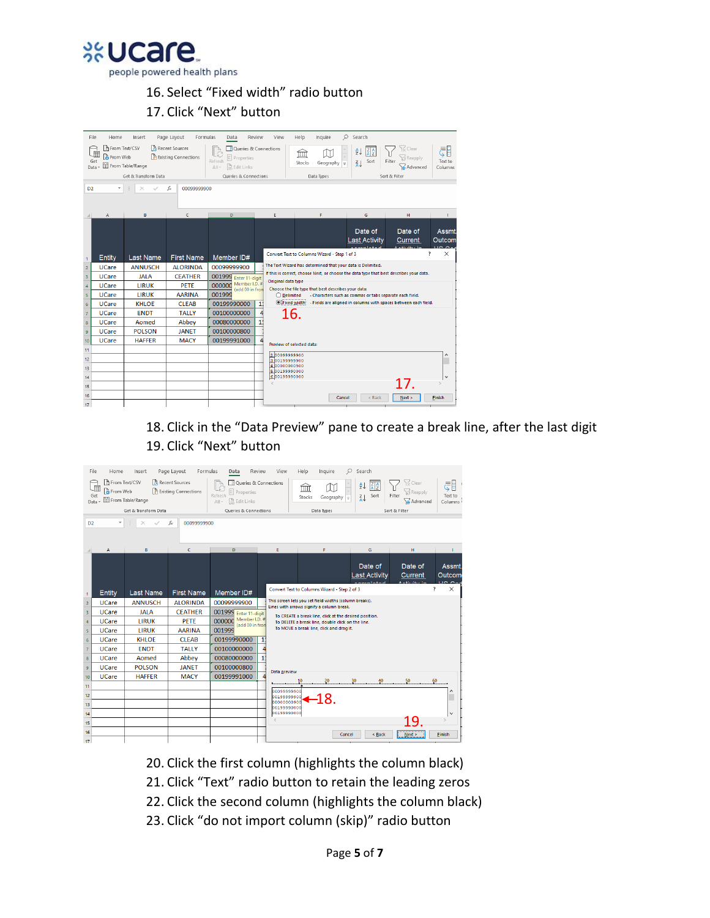**xvcare** people powered health plans

## 16. Select "Fixed width" radio button 17. Click "Next" button

| Data<br>D <sub>2</sub> | File<br>Home<br>From Text/CSV<br>From Web<br>Get | Insert<br>From Table/Range<br>Get & Transform Data | Formulas<br>Page Layout<br>Recent Sources<br><b>A</b> Existing Connections<br>00099999900<br>£ | Data<br>Queries & Connections<br><sup>8</sup> : Properties<br>Refresh<br>e. Edit Links<br>$All -$<br>Queries & Connections | Review       | View<br>Help<br>ím<br>Stocks | Inquire<br>Geography $\equiv$<br>Data Types                 | $O$ Search<br>₹↓<br>Sort<br>$\frac{z}{A}$                | √ Clear<br><b>Reapply</b><br>Filter<br>Advanced<br>Sort & Filter                        | E<br>Text to<br>Columns |
|------------------------|--------------------------------------------------|----------------------------------------------------|------------------------------------------------------------------------------------------------|----------------------------------------------------------------------------------------------------------------------------|--------------|------------------------------|-------------------------------------------------------------|----------------------------------------------------------|-----------------------------------------------------------------------------------------|-------------------------|
|                        | A                                                | B                                                  | c                                                                                              | D                                                                                                                          |              | Ė                            | F                                                           | G                                                        | н                                                                                       |                         |
|                        |                                                  |                                                    |                                                                                                |                                                                                                                            |              |                              |                                                             | Date of<br><b>Last Activity</b>                          | Date of<br>Current                                                                      | <b>Assmt</b><br>Outcom  |
| $\mathbf{1}$           | Entity                                           | Last Name                                          | <b>First Name</b>                                                                              | Member ID#                                                                                                                 |              |                              | Convert Text to Columns Wizard - Step 1 of 3                |                                                          |                                                                                         | ×                       |
| $\overline{2}$         | <b>UCare</b>                                     | <b>ANNUSCH</b>                                     | <b>ALORINDA</b>                                                                                | 00099999900                                                                                                                |              |                              | The Text Wizard has determined that your data is Delimited. |                                                          |                                                                                         |                         |
| 3                      | <b>UCare</b>                                     | <b>JALA</b>                                        | <b>CEATHER</b>                                                                                 | 001999 Enter 11-digit                                                                                                      |              |                              |                                                             |                                                          | If this is correct, choose Next, or choose the data type that best describes your data. |                         |
| $\overline{4}$         | <b>UCare</b>                                     | <b>LIRUK</b>                                       | PETE                                                                                           | Member I.D. #<br>000000<br>(add 00 in fron                                                                                 |              | Original data type           | Choose the file type that best describes your data:         |                                                          |                                                                                         |                         |
| 5                      | <b>UCare</b>                                     | <b>LIRUK</b>                                       | <b>AARINA</b>                                                                                  | 001999                                                                                                                     |              | $\bigcirc$ Delimited         |                                                             | - Characters such as commas or tabs separate each field. |                                                                                         |                         |
| 6                      | <b>UCare</b>                                     | <b>KHLOE</b>                                       | <b>CLEAB</b>                                                                                   | 00199990000                                                                                                                | $\mathbf{1}$ | ● Fixed width                |                                                             |                                                          | - Fields are aligned in columns with spaces between each field.                         |                         |
| $\overline{7}$         | <b>UCare</b>                                     | <b>ENDT</b>                                        | <b>TALLY</b>                                                                                   | 00100000000                                                                                                                |              | 16.                          |                                                             |                                                          |                                                                                         |                         |
| $\delta$               | <b>UCare</b>                                     | Aomed                                              | Abbey                                                                                          | 00080000000                                                                                                                |              |                              |                                                             |                                                          |                                                                                         |                         |
| 9                      | <b>UCare</b>                                     | <b>POLSON</b>                                      | <b>JANET</b>                                                                                   | 00100000800                                                                                                                |              |                              |                                                             |                                                          |                                                                                         |                         |
| 10                     | <b>UCare</b>                                     | <b>HAFFER</b>                                      | <b>MACY</b>                                                                                    | 00199991000                                                                                                                |              | Preview of selected data:    |                                                             |                                                          |                                                                                         |                         |
| 11                     |                                                  |                                                    |                                                                                                |                                                                                                                            |              | 00099999900                  |                                                             |                                                          |                                                                                         |                         |
| 12                     |                                                  |                                                    |                                                                                                |                                                                                                                            |              | 0199999900                   |                                                             |                                                          |                                                                                         |                         |
| 13                     |                                                  |                                                    |                                                                                                |                                                                                                                            |              | 10000000900<br>0000999000    |                                                             |                                                          |                                                                                         |                         |
| 14                     |                                                  |                                                    |                                                                                                |                                                                                                                            |              | 600199990000                 |                                                             |                                                          |                                                                                         |                         |
| 15                     |                                                  |                                                    |                                                                                                |                                                                                                                            |              |                              |                                                             |                                                          |                                                                                         |                         |
| 16                     |                                                  |                                                    |                                                                                                |                                                                                                                            |              |                              | Cancel                                                      | < Back                                                   | Next                                                                                    | Finish                  |
| 17                     |                                                  |                                                    |                                                                                                |                                                                                                                            |              |                              |                                                             |                                                          |                                                                                         |                         |

18. Click in the "Data Preview" pane to create a break line, after the last digit 19. Click "Next" button

| File           | Home                                              | Insert               | Page Layout<br>Formulas                         | Data                                                                                               | Review       | View                       | Help<br>Inquire                                                                                             | O<br>Search                                            |                                                   |                                   |
|----------------|---------------------------------------------------|----------------------|-------------------------------------------------|----------------------------------------------------------------------------------------------------|--------------|----------------------------|-------------------------------------------------------------------------------------------------------------|--------------------------------------------------------|---------------------------------------------------|-----------------------------------|
| Data           | Fi From Text/CSV<br>届<br><b>A</b> From Web<br>Get | From Table/Range     | Recent Sources<br><b>A</b> Existing Connections | Queries & Connections<br><sup>a:</sup> Properties<br>Refresh<br>$\mathbb{R}$ Edit Links<br>$All -$ |              |                            | ΈШÌ<br>Stocks<br>Geography $\sqrt{2}$                                                                       | $rac{Z}{A}$ $rac{A}{Z}$<br>$\frac{A}{Z}$<br>Sort<br>71 | Clear<br><b>Ici Reapply</b><br>Filter<br>Advanced | ₹Ē<br>Text to<br>Columns          |
|                |                                                   | Get & Transform Data |                                                 | <b>Oueries &amp; Connections</b>                                                                   |              |                            | Data Types                                                                                                  |                                                        | Sort & Filter                                     |                                   |
| D <sub>2</sub> |                                                   |                      | fx<br>00099999900                               |                                                                                                    |              |                            |                                                                                                             |                                                        |                                                   |                                   |
|                |                                                   |                      |                                                 |                                                                                                    |              |                            |                                                                                                             |                                                        |                                                   |                                   |
|                | A                                                 | в                    | c.                                              | D                                                                                                  |              | E.                         | F                                                                                                           | G                                                      | H                                                 | T.                                |
|                |                                                   |                      |                                                 |                                                                                                    |              |                            |                                                                                                             | Date of<br><b>Last Activity</b>                        | Date of<br>Current                                | Assmt.<br>Outcom<br>$\sim$ $\sim$ |
| $\mathbf{1}$   | Entity                                            | <b>Last Name</b>     | <b>First Name</b>                               | Member ID#                                                                                         |              |                            | Convert Text to Columns Wizard - Step 2 of 3                                                                |                                                        |                                                   | $\times$                          |
| $\overline{2}$ | <b>UCare</b>                                      | <b>ANNUSCH</b>       | <b>ALORINDA</b>                                 | 00099999900                                                                                        |              |                            | This screen lets you set field widths (column breaks).                                                      |                                                        |                                                   |                                   |
| 3              | <b>UCare</b>                                      | <b>JALA</b>          | <b>CEATHER</b>                                  | 001999 Enter 11-digit                                                                              |              |                            | Lines with arrows signify a column break.                                                                   |                                                        |                                                   |                                   |
| $\overline{4}$ | <b>UCare</b>                                      | <b>LIRUK</b>         | PETE                                            | Member I.D. #<br>000000<br>(add 00 in fron                                                         |              |                            | To CREATE a break line, click at the desired position.<br>To DELETE a break line, double click on the line. |                                                        |                                                   |                                   |
| 5              | <b>UCare</b>                                      | <b>LIRUK</b>         | <b>AARINA</b>                                   | 001999                                                                                             |              |                            | To MOVE a break line, click and drag it.                                                                    |                                                        |                                                   |                                   |
| 6              | <b>UCare</b>                                      | <b>KHLOE</b>         | <b>CLEAB</b>                                    | 00199990000                                                                                        | $\mathbf{1}$ |                            |                                                                                                             |                                                        |                                                   |                                   |
| $\overline{7}$ | <b>UCare</b>                                      | <b>ENDT</b>          | <b>TALLY</b>                                    | 00100000000                                                                                        |              |                            |                                                                                                             |                                                        |                                                   |                                   |
| $\overline{8}$ | <b>UCare</b>                                      | Aomed                | Abbey                                           | 00080000000                                                                                        | $\mathbf{1}$ |                            |                                                                                                             |                                                        |                                                   |                                   |
| 9              | <b>UCare</b>                                      | <b>POLSON</b>        | <b>JANFT</b>                                    | 00100000800                                                                                        |              | Data preview               |                                                                                                             |                                                        |                                                   |                                   |
| 10             | <b>UCare</b>                                      | <b>HAFFER</b>        | <b>MACY</b>                                     | 00199991000                                                                                        |              |                            | 20<br>10                                                                                                    | 40                                                     | 50                                                | 60                                |
| 11             |                                                   |                      |                                                 |                                                                                                    |              | booseseeood                |                                                                                                             |                                                        |                                                   |                                   |
| 12             |                                                   |                      |                                                 |                                                                                                    |              | 00199999900                | -18.                                                                                                        |                                                        |                                                   |                                   |
| 13             |                                                   |                      |                                                 |                                                                                                    |              | 00000000900<br>00199990000 |                                                                                                             |                                                        |                                                   |                                   |
| 14             |                                                   |                      |                                                 |                                                                                                    |              | 00199990000                |                                                                                                             |                                                        |                                                   | k.                                |
| 15             |                                                   |                      |                                                 |                                                                                                    |              | z                          |                                                                                                             |                                                        |                                                   |                                   |
| 16             |                                                   |                      |                                                 |                                                                                                    |              |                            |                                                                                                             | < Back<br>Cancel                                       | Next >                                            | Finish                            |
| 17             |                                                   |                      |                                                 |                                                                                                    |              |                            |                                                                                                             |                                                        |                                                   |                                   |

- 20. Click the first column (highlights the column black)
- 21. Click "Text" radio button to retain the leading zeros
- 22. Click the second column (highlights the column black)
- 23. Click "do not import column (skip)" radio button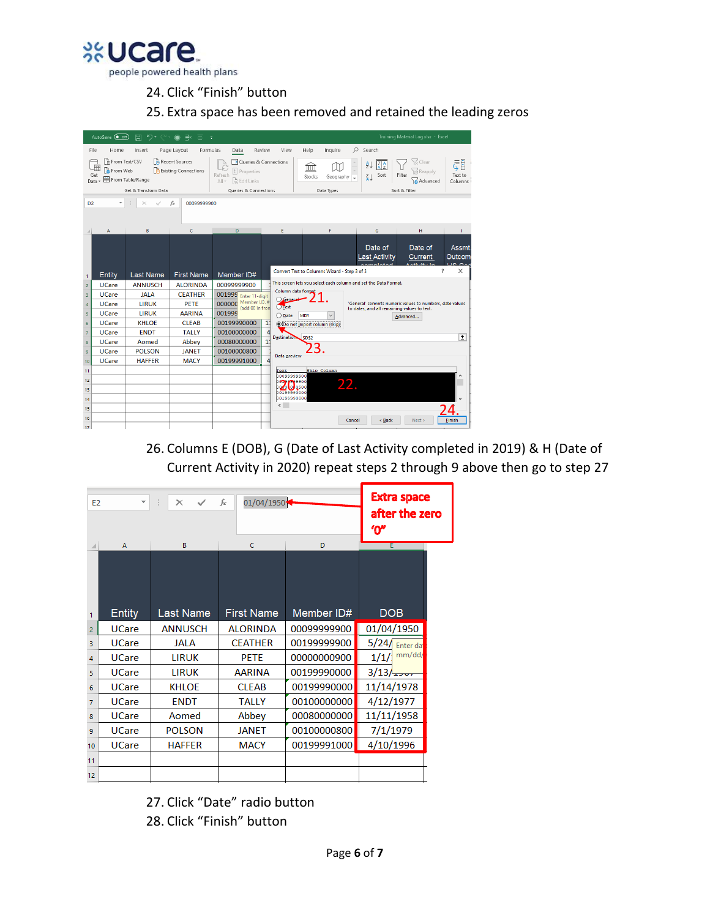

24. Click "Finish" button

25. Extra space has been removed and retained the leading zeros

|                 | AutoSave (O Off)                 | $\cup$ .<br>原                            | Р×<br>⋒<br>÷                                    |                                                                                                                   |                                   |                                                   |                                                                                                          | Training Material Log.xlsx - Excel                               |                              |
|-----------------|----------------------------------|------------------------------------------|-------------------------------------------------|-------------------------------------------------------------------------------------------------------------------|-----------------------------------|---------------------------------------------------|----------------------------------------------------------------------------------------------------------|------------------------------------------------------------------|------------------------------|
| File            | Home                             | Insert                                   | Page Layout<br>Formulas                         | Data                                                                                                              | Review<br>View                    | Help<br>Inquire                                   | Ω<br>Search                                                                                              |                                                                  |                              |
| Get<br>Data     | □ From Text/CSV<br>屏<br>From Web | From Table/Range<br>Get & Transform Data | Recent Sources<br><b>B</b> Existing Connections | Queries & Connections<br><sup>B:</sup> Properties<br>Refresh<br>a, Edit Links<br>$All -$<br>Queries & Connections |                                   | ÍΠÌ<br>Stocks<br>Geography $\equiv$<br>Data Types | āl<br>21<br>Sort<br>$rac{7}{4}$                                                                          | $C$ Clear<br>าะร์ Reapply<br>Filter<br>Advanced<br>Sort & Filter | ŧ<br>₹<br>Text to<br>Columns |
|                 |                                  |                                          |                                                 |                                                                                                                   |                                   |                                                   |                                                                                                          |                                                                  |                              |
| D <sub>2</sub>  | ٠                                |                                          | fx<br>00099999900                               |                                                                                                                   |                                   |                                                   |                                                                                                          |                                                                  |                              |
|                 | A                                | B                                        | C.                                              | $\mathbf{D}$                                                                                                      | E                                 | F.                                                | G                                                                                                        | H                                                                |                              |
|                 |                                  |                                          |                                                 |                                                                                                                   |                                   |                                                   | Date of<br><b>Last Activity</b>                                                                          | Date of<br>Current                                               | <b>Assmt</b><br>Outcom       |
| $\mathbf{1}$    | Entity                           | <b>Last Name</b>                         | <b>First Name</b>                               | Member ID#                                                                                                        |                                   | Convert Text to Columns Wizard - Step 3 of 3      |                                                                                                          | 7                                                                | ×                            |
| $\overline{2}$  | <b>UCare</b>                     | <b>ANNUSCH</b>                           | <b>ALORINDA</b>                                 | 00099999900                                                                                                       |                                   |                                                   | This screen lets you select each column and set the Data Format.                                         |                                                                  |                              |
| 3               | <b>UCare</b>                     | <b>JALA</b>                              | <b>CEATHER</b>                                  | 001999 Enter 11-digit                                                                                             | Column data format<br>$O$ General |                                                   |                                                                                                          |                                                                  |                              |
| $\overline{4}$  | <b>UCare</b>                     | <b>LIRUK</b>                             | PETE                                            | Member I.D. #<br>000000<br>(add 00 in fron                                                                        | $O$ Text                          |                                                   | 'General' converts numeric values to numbers, date values<br>to dates, and all remaining values to text. |                                                                  |                              |
| 5               | <b>UCare</b>                     | <b>TIRUK</b>                             | <b>AARINA</b>                                   | 001999                                                                                                            | ◯ Date:                           | <b>MDY</b>                                        |                                                                                                          | Advanced                                                         |                              |
| $6\overline{6}$ | <b>UCare</b>                     | <b>KHLOE</b>                             | <b>CLEAB</b>                                    | 00199990000                                                                                                       | $1^{\circ}$                       | ◉ Do not import column (skip)                     |                                                                                                          |                                                                  |                              |
| $\overline{7}$  | <b>UCare</b>                     | <b>ENDT</b>                              | <b>TALLY</b>                                    | 00100000000                                                                                                       | ₫<br>Destination SDS2             |                                                   |                                                                                                          |                                                                  | 杢                            |
| 8               | <b>UCare</b>                     | Aomed                                    | Abbey                                           | 00080000000                                                                                                       | 11                                |                                                   |                                                                                                          |                                                                  |                              |
| 9               | <b>UCare</b>                     | <b>POLSON</b>                            | <b>JANFT</b>                                    | 00100000800                                                                                                       | Data preview                      |                                                   |                                                                                                          |                                                                  |                              |
| 10              | <b>UCare</b>                     | <b>HAFFER</b>                            | <b>MACY</b>                                     | 00199991000                                                                                                       |                                   |                                                   |                                                                                                          |                                                                  |                              |
| 11              |                                  |                                          |                                                 |                                                                                                                   | Text.<br>0009999900               | Skip Column                                       |                                                                                                          |                                                                  |                              |
| 12              |                                  |                                          |                                                 |                                                                                                                   | 00009009900                       |                                                   |                                                                                                          |                                                                  |                              |
| 13              |                                  |                                          |                                                 |                                                                                                                   | 0000 0 0900<br>00199990000        |                                                   |                                                                                                          |                                                                  |                              |
| 14              |                                  |                                          |                                                 |                                                                                                                   | 00199990000                       |                                                   |                                                                                                          |                                                                  |                              |
| 15              |                                  |                                          |                                                 |                                                                                                                   | $\leq$                            |                                                   |                                                                                                          |                                                                  |                              |
| 16              |                                  |                                          |                                                 |                                                                                                                   |                                   |                                                   | Cancel<br>< Back                                                                                         | Next >                                                           | Finish                       |
| 17              |                                  |                                          |                                                 |                                                                                                                   |                                   |                                                   |                                                                                                          |                                                                  |                              |

26. Columns E (DOB), G (Date of Last Activity completed in 2019) & H (Date of Current Activity in 2020) repeat steps 2 through 9 above then go to step 27

| E <sub>2</sub> | $\overline{\mathbf{v}}$ | ÷<br>$\times$<br>$\checkmark$ | fx                | 01/04/1950<br>$\epsilon$ |                  |  |  |  |  |
|----------------|-------------------------|-------------------------------|-------------------|--------------------------|------------------|--|--|--|--|
|                | A                       | B                             |                   | D                        | E                |  |  |  |  |
| 1              | <b>Entity</b>           | <b>Last Name</b>              | <b>First Name</b> | Member ID#               | <b>DOB</b>       |  |  |  |  |
| $\overline{2}$ | <b>UCare</b>            | <b>ANNUSCH</b>                | <b>ALORINDA</b>   | 00099999900              | 01/04/1950       |  |  |  |  |
| 3              | <b>UCare</b>            | <b>JALA</b>                   | <b>CEATHER</b>    | 00199999900              | $5/24$ Enter dat |  |  |  |  |
| 4              | <b>UCare</b>            | <b>LIRUK</b>                  | <b>PETE</b>       | 00000000900              | mm/dd/<br>1/1/   |  |  |  |  |
| 5              | <b>UCare</b>            | <b>LIRUK</b>                  | AARINA            | 00199990000              | 3/13/12          |  |  |  |  |
| 6              | <b>UCare</b>            | <b>KHLOE</b>                  | <b>CLEAB</b>      | 00199990000              | 11/14/1978       |  |  |  |  |
| 7              | <b>UCare</b>            | <b>ENDT</b>                   | <b>TALLY</b>      | 00100000000              | 4/12/1977        |  |  |  |  |
| 8              | <b>UCare</b>            | Aomed                         | Abbey             | 00080000000              | 11/11/1958       |  |  |  |  |
| 9              | <b>UCare</b>            | <b>POLSON</b>                 | <b>JANET</b>      | 00100000800              | 7/1/1979         |  |  |  |  |
| 10             | <b>UCare</b>            | <b>HAFFER</b>                 | <b>MACY</b>       | 00199991000              | 4/10/1996        |  |  |  |  |
| 11             |                         |                               |                   |                          |                  |  |  |  |  |
| 12             |                         |                               |                   |                          |                  |  |  |  |  |
|                |                         |                               |                   |                          |                  |  |  |  |  |

27. Click "Date" radio button

28. Click "Finish" button